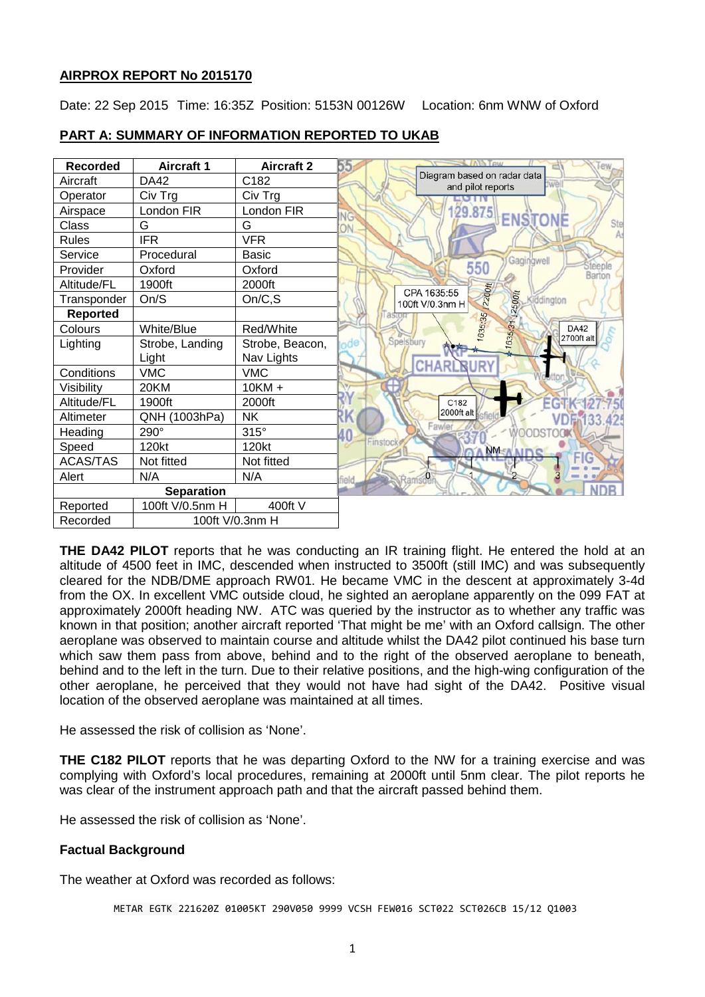## **AIRPROX REPORT No 2015170**

Date: 22 Sep 2015 Time: 16:35Z Position: 5153N 00126W Location: 6nm WNW of Oxford



# **PART A: SUMMARY OF INFORMATION REPORTED TO UKAB**

**THE DA42 PILOT** reports that he was conducting an IR training flight. He entered the hold at an altitude of 4500 feet in IMC, descended when instructed to 3500ft (still IMC) and was subsequently cleared for the NDB/DME approach RW01. He became VMC in the descent at approximately 3-4d from the OX. In excellent VMC outside cloud, he sighted an aeroplane apparently on the 099 FAT at approximately 2000ft heading NW. ATC was queried by the instructor as to whether any traffic was known in that position; another aircraft reported 'That might be me' with an Oxford callsign. The other aeroplane was observed to maintain course and altitude whilst the DA42 pilot continued his base turn which saw them pass from above, behind and to the right of the observed aeroplane to beneath, behind and to the left in the turn. Due to their relative positions, and the high-wing configuration of the other aeroplane, he perceived that they would not have had sight of the DA42. Positive visual location of the observed aeroplane was maintained at all times.

He assessed the risk of collision as 'None'.

**THE C182 PILOT** reports that he was departing Oxford to the NW for a training exercise and was complying with Oxford's local procedures, remaining at 2000ft until 5nm clear. The pilot reports he was clear of the instrument approach path and that the aircraft passed behind them.

He assessed the risk of collision as 'None'.

## **Factual Background**

The weather at Oxford was recorded as follows:

METAR EGTK 221620Z 01005KT 290V050 9999 VCSH FEW016 SCT022 SCT026CB 15/12 Q1003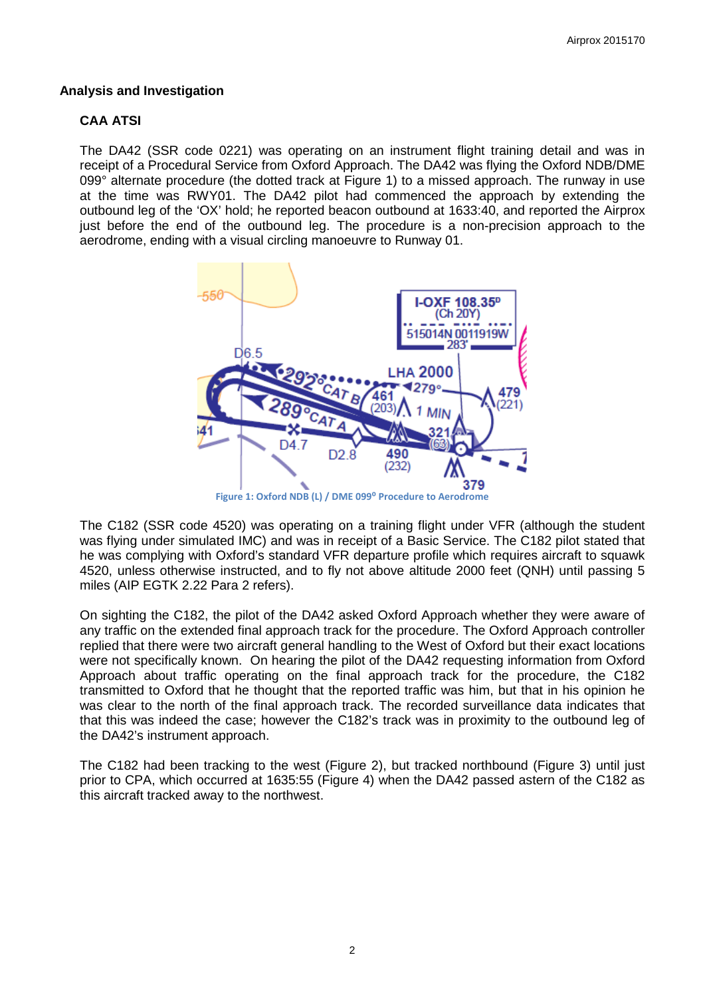#### **Analysis and Investigation**

### **CAA ATSI**

The DA42 (SSR code 0221) was operating on an instrument flight training detail and was in receipt of a Procedural Service from Oxford Approach. The DA42 was flying the Oxford NDB/DME 099° alternate procedure (the dotted track at Figure 1) to a missed approach. The runway in use at the time was RWY01. The DA42 pilot had commenced the approach by extending the outbound leg of the 'OX' hold; he reported beacon outbound at 1633:40, and reported the Airprox just before the end of the outbound leg. The procedure is a non-precision approach to the aerodrome, ending with a visual circling manoeuvre to Runway 01.



Figure 1: Oxford NDB (L) / DME 099<sup>°</sup> Procedure to Aerodrome

The C182 (SSR code 4520) was operating on a training flight under VFR (although the student was flying under simulated IMC) and was in receipt of a Basic Service. The C182 pilot stated that he was complying with Oxford's standard VFR departure profile which requires aircraft to squawk 4520, unless otherwise instructed, and to fly not above altitude 2000 feet (QNH) until passing 5 miles (AIP EGTK 2.22 Para 2 refers).

On sighting the C182, the pilot of the DA42 asked Oxford Approach whether they were aware of any traffic on the extended final approach track for the procedure. The Oxford Approach controller replied that there were two aircraft general handling to the West of Oxford but their exact locations were not specifically known. On hearing the pilot of the DA42 requesting information from Oxford Approach about traffic operating on the final approach track for the procedure, the C182 transmitted to Oxford that he thought that the reported traffic was him, but that in his opinion he was clear to the north of the final approach track. The recorded surveillance data indicates that that this was indeed the case; however the C182's track was in proximity to the outbound leg of the DA42's instrument approach.

The C182 had been tracking to the west (Figure 2), but tracked northbound (Figure 3) until just prior to CPA, which occurred at 1635:55 (Figure 4) when the DA42 passed astern of the C182 as this aircraft tracked away to the northwest.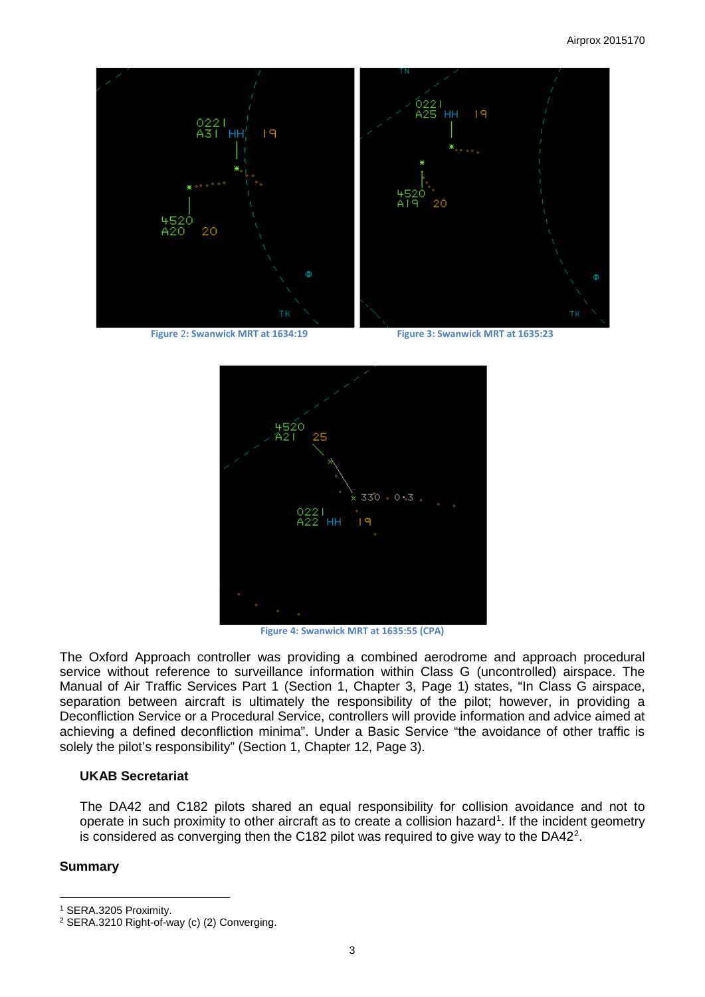

**Figure** 2**: Swanwick MRT at 1634:19 Figure 3: Swanwick MRT at 1635:23**



**Figure 4: Swanwick MRT at 1635:55 (CPA)**

The Oxford Approach controller was providing a combined aerodrome and approach procedural service without reference to surveillance information within Class G (uncontrolled) airspace. The Manual of Air Traffic Services Part 1 (Section 1, Chapter 3, Page 1) states, "In Class G airspace, separation between aircraft is ultimately the responsibility of the pilot; however, in providing a Deconfliction Service or a Procedural Service, controllers will provide information and advice aimed at achieving a defined deconfliction minima". Under a Basic Service "the avoidance of other traffic is solely the pilot's responsibility" (Section 1, Chapter 12, Page 3).

#### **UKAB Secretariat**

The DA42 and C182 pilots shared an equal responsibility for collision avoidance and not to operate in such proximity to other aircraft as to create a collision hazard<sup>[1](#page-2-0)</sup>. If the incident geometry is considered as converging then the C18[2](#page-2-1) pilot was required to give way to the DA42<sup>2</sup>.

## **Summary**

l

<span id="page-2-0"></span><sup>1</sup> SERA.3205 Proximity.

<span id="page-2-1"></span><sup>2</sup> SERA.3210 Right-of-way (c) (2) Converging.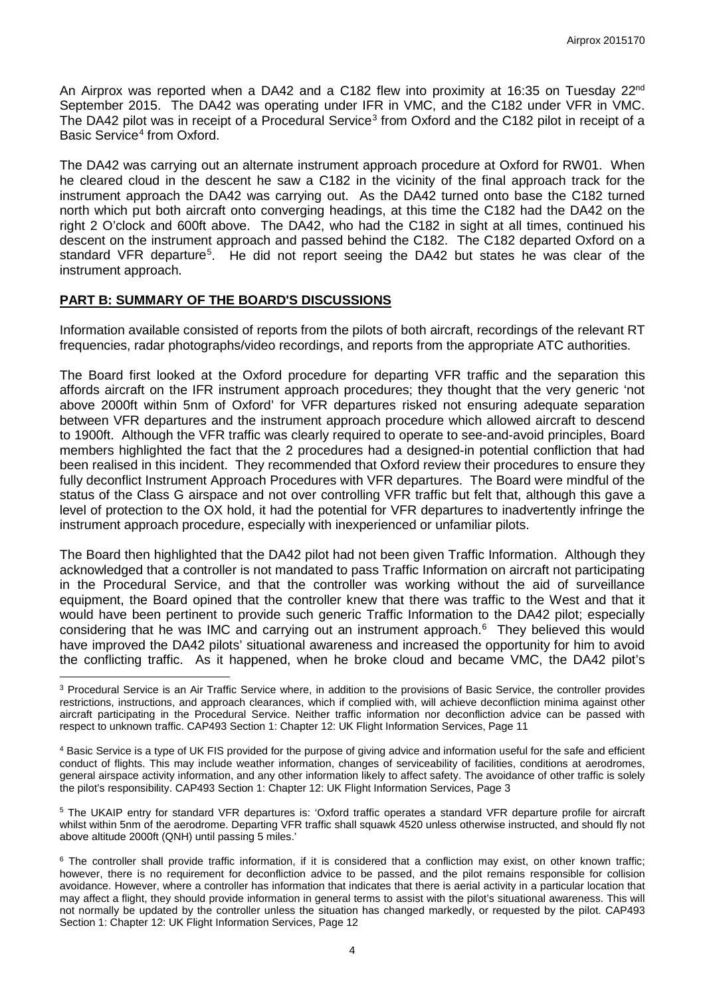An Airprox was reported when a DA42 and a C182 flew into proximity at 16:35 on Tuesday 22<sup>nd</sup> September 2015. The DA42 was operating under IFR in VMC, and the C182 under VFR in VMC. The DA42 pilot was in receipt of a Procedural Service<sup>[3](#page-3-0)</sup> from Oxford and the C182 pilot in receipt of a Basic Service<sup>[4](#page-3-1)</sup> from Oxford.

The DA42 was carrying out an alternate instrument approach procedure at Oxford for RW01. When he cleared cloud in the descent he saw a C182 in the vicinity of the final approach track for the instrument approach the DA42 was carrying out. As the DA42 turned onto base the C182 turned north which put both aircraft onto converging headings, at this time the C182 had the DA42 on the right 2 O'clock and 600ft above. The DA42, who had the C182 in sight at all times, continued his descent on the instrument approach and passed behind the C182. The C182 departed Oxford on a standard VFR departure<sup>[5](#page-3-2)</sup>. He did not report seeing the DA42 but states he was clear of the instrument approach.

### **PART B: SUMMARY OF THE BOARD'S DISCUSSIONS**

 $\overline{\phantom{a}}$ 

Information available consisted of reports from the pilots of both aircraft, recordings of the relevant RT frequencies, radar photographs/video recordings, and reports from the appropriate ATC authorities.

The Board first looked at the Oxford procedure for departing VFR traffic and the separation this affords aircraft on the IFR instrument approach procedures; they thought that the very generic 'not above 2000ft within 5nm of Oxford' for VFR departures risked not ensuring adequate separation between VFR departures and the instrument approach procedure which allowed aircraft to descend to 1900ft. Although the VFR traffic was clearly required to operate to see-and-avoid principles, Board members highlighted the fact that the 2 procedures had a designed-in potential confliction that had been realised in this incident. They recommended that Oxford review their procedures to ensure they fully deconflict Instrument Approach Procedures with VFR departures. The Board were mindful of the status of the Class G airspace and not over controlling VFR traffic but felt that, although this gave a level of protection to the OX hold, it had the potential for VFR departures to inadvertently infringe the instrument approach procedure, especially with inexperienced or unfamiliar pilots.

The Board then highlighted that the DA42 pilot had not been given Traffic Information. Although they acknowledged that a controller is not mandated to pass Traffic Information on aircraft not participating in the Procedural Service, and that the controller was working without the aid of surveillance equipment, the Board opined that the controller knew that there was traffic to the West and that it would have been pertinent to provide such generic Traffic Information to the DA42 pilot; especially considering that he was IMC and carrying out an instrument approach.<sup>[6](#page-3-3)</sup> They believed this would have improved the DA42 pilots' situational awareness and increased the opportunity for him to avoid the conflicting traffic. As it happened, when he broke cloud and became VMC, the DA42 pilot's

<span id="page-3-2"></span><sup>5</sup> The UKAIP entry for standard VFR departures is: 'Oxford traffic operates a standard VFR departure profile for aircraft whilst within 5nm of the aerodrome. Departing VFR traffic shall squawk 4520 unless otherwise instructed, and should fly not above altitude 2000ft (QNH) until passing 5 miles.'

<span id="page-3-0"></span><sup>&</sup>lt;sup>3</sup> Procedural Service is an Air Traffic Service where, in addition to the provisions of Basic Service, the controller provides restrictions, instructions, and approach clearances, which if complied with, will achieve deconfliction minima against other aircraft participating in the Procedural Service. Neither traffic information nor deconfliction advice can be passed with respect to unknown traffic. CAP493 Section 1: Chapter 12: UK Flight Information Services, Page 11

<span id="page-3-1"></span><sup>4</sup> Basic Service is a type of UK FIS provided for the purpose of giving advice and information useful for the safe and efficient conduct of flights. This may include weather information, changes of serviceability of facilities, conditions at aerodromes, general airspace activity information, and any other information likely to affect safety. The avoidance of other traffic is solely the pilot's responsibility. CAP493 Section 1: Chapter 12: UK Flight Information Services, Page 3

<span id="page-3-3"></span><sup>&</sup>lt;sup>6</sup> The controller shall provide traffic information, if it is considered that a confliction may exist, on other known traffic; however, there is no requirement for deconfliction advice to be passed, and the pilot remains responsible for collision avoidance. However, where a controller has information that indicates that there is aerial activity in a particular location that may affect a flight, they should provide information in general terms to assist with the pilot's situational awareness. This will not normally be updated by the controller unless the situation has changed markedly, or requested by the pilot. CAP493 Section 1: Chapter 12: UK Flight Information Services, Page 12